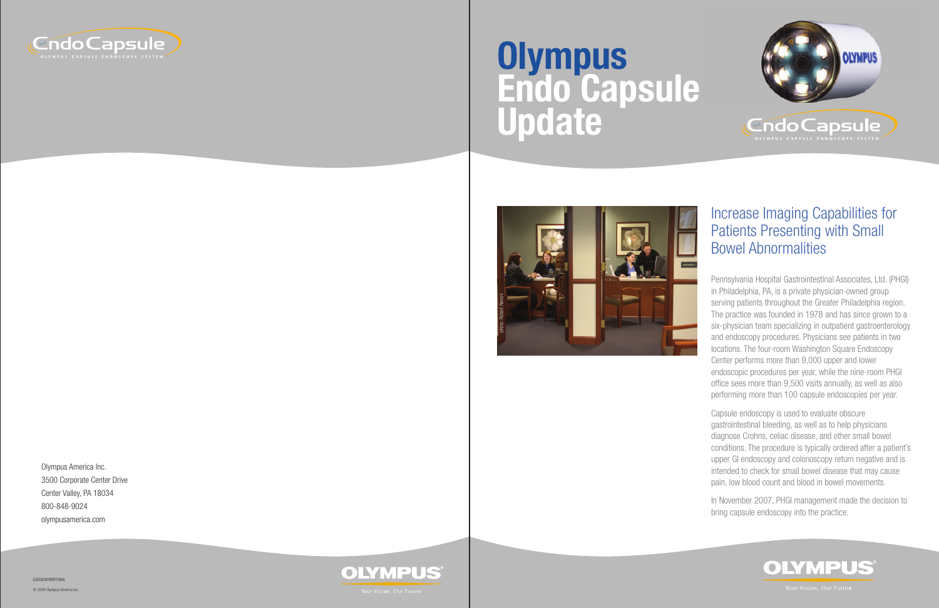

## Increase Imaging Capabilities for Patients Presenting with Small Bowel Abnormalities

Pennsylvania Hospital Gastrointestinal Associates, Ltd. (PHGI) in Philadelphia, PA, is a private physician-owned group serving patients throughout the Greater Philadelphia region. The practice was founded in 1978 and has since grown to a six-physician team specializing in outpatient gastroenterology and endoscopy procedures. Physicians see patients in two locations. The four-room Washington Square Endoscopy Center performs more than 9,000 upper and lower endoscopic procedures per year, while the nine-room PHGI office sees more than 9,500 visits annually, as well as also performing more than 100 capsule endoscopies per year.

Capsule endoscopy is used to evaluate obscure gastrointestinal bleeding, as well as to help physicians diagnose Crohns, celiac disease, and other small bowel conditions. The procedure is typically ordered after a patient's upper GI endoscopy and colonoscopy return negative and is intended to check for small bowel disease that may cause pain, low blood count and blood in bowel movements.

In November 2007, PHGI management made the decision to bring capsule endoscopy into the practice.





# **Olympus Endo Capsule Update**

Olympus America Inc. 3500 Corporate Center Drive Center Valley, PA 18034 800-848-9024 olympusamerica.com



OAIGI0909WP5866

© 2009 Olympus America Inc.